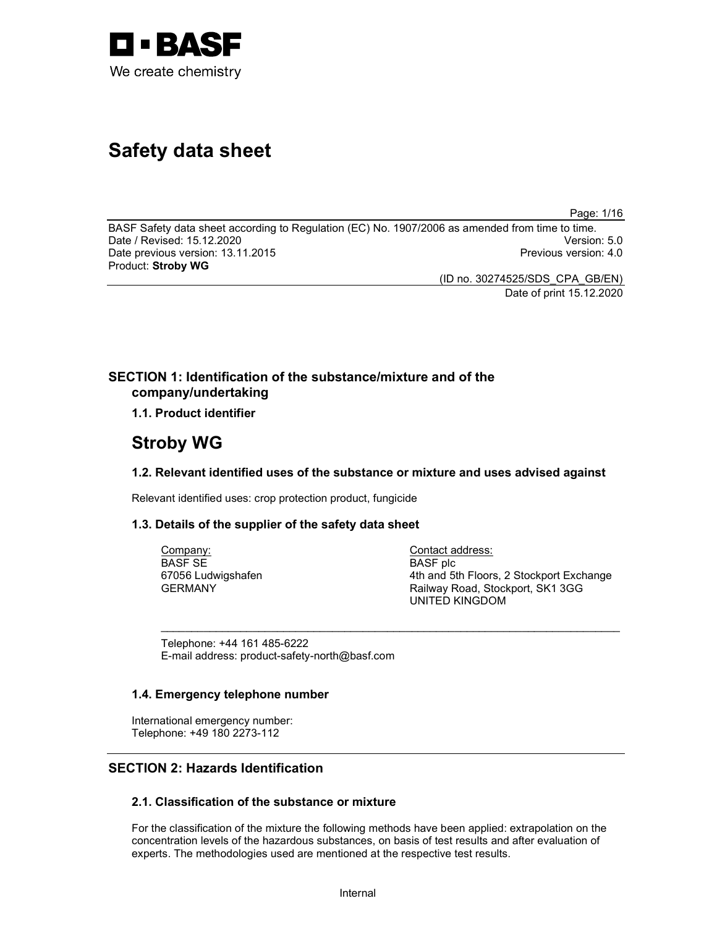

# Safety data sheet

Page: 1/16

BASF Safety data sheet according to Regulation (EC) No. 1907/2006 as amended from time to time. Date / Revised: 15.12.2020 Version: 5.0 Date previous version: 13.11.2015 **Previous version: 4.0** Previous version: 4.0 Product: Stroby WG

(ID no. 30274525/SDS\_CPA\_GB/EN) Date of print 15.12.2020

## SECTION 1: Identification of the substance/mixture and of the company/undertaking

1.1. Product identifier

## Stroby WG

#### 1.2. Relevant identified uses of the substance or mixture and uses advised against

 $\sim$  . The contribution of the contribution of the contribution of the contribution of the contribution of the contribution of the contribution of the contribution of the contribution of the contribution of the contributi

Relevant identified uses: crop protection product, fungicide

#### 1.3. Details of the supplier of the safety data sheet

Company: BASF SE 67056 Ludwigshafen GERMANY

Contact address: BASF plc 4th and 5th Floors, 2 Stockport Exchange Railway Road, Stockport, SK1 3GG UNITED KINGDOM

Telephone: +44 161 485-6222 E-mail address: product-safety-north@basf.com

#### 1.4. Emergency telephone number

International emergency number: Telephone: +49 180 2273-112

## SECTION 2: Hazards Identification

## 2.1. Classification of the substance or mixture

For the classification of the mixture the following methods have been applied: extrapolation on the concentration levels of the hazardous substances, on basis of test results and after evaluation of experts. The methodologies used are mentioned at the respective test results.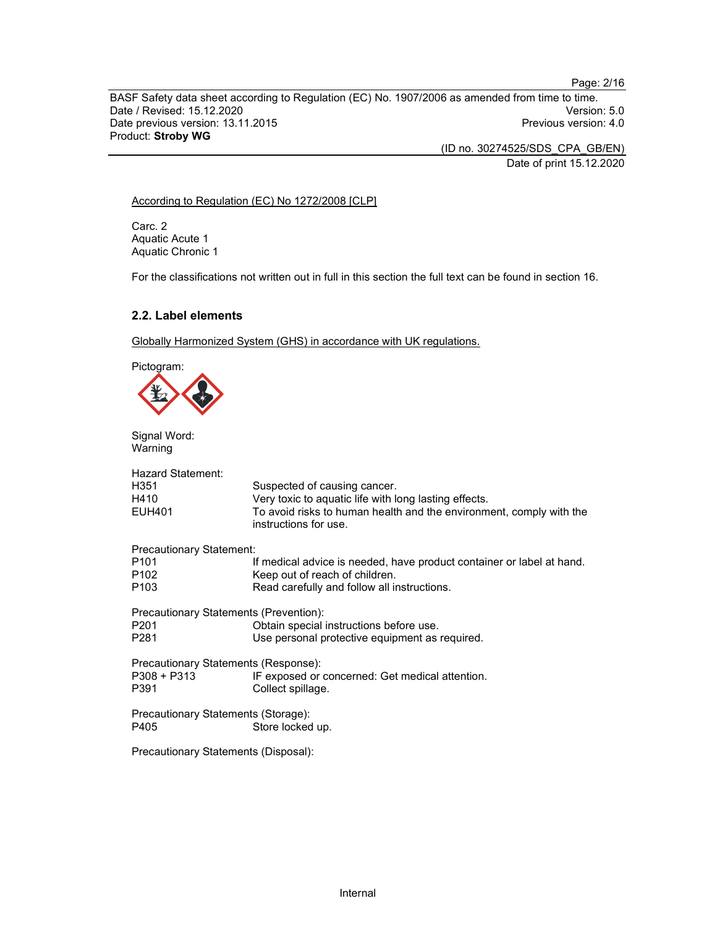Page: 2/16

BASF Safety data sheet according to Regulation (EC) No. 1907/2006 as amended from time to time.<br>Date / Revised: 15.12.2020 Date / Revised: 15.12.2020 Date previous version: 13.11.2015 **Previous version: 4.0** Previous version: 4.0 Product: Stroby WG

(ID no. 30274525/SDS\_CPA\_GB/EN)

Date of print 15.12.2020

#### According to Regulation (EC) No 1272/2008 [CLP]

Carc. 2 Aquatic Acute 1 Aquatic Chronic 1

For the classifications not written out in full in this section the full text can be found in section 16.

## 2.2. Label elements

Globally Harmonized System (GHS) in accordance with UK regulations.

Pictogram:

Signal Word: Warning

| <b>Hazard Statement:</b><br>H351<br>H410<br><b>EUH401</b> | Suspected of causing cancer.<br>Very toxic to aquatic life with long lasting effects.<br>To avoid risks to human health and the environment, comply with the<br>instructions for use. |
|-----------------------------------------------------------|---------------------------------------------------------------------------------------------------------------------------------------------------------------------------------------|
| Precautionary Statement:                                  |                                                                                                                                                                                       |
| P <sub>101</sub>                                          | If medical advice is needed, have product container or label at hand.                                                                                                                 |
| P <sub>102</sub>                                          | Keep out of reach of children.                                                                                                                                                        |
| P <sub>103</sub>                                          | Read carefully and follow all instructions.                                                                                                                                           |
| Precautionary Statements (Prevention):                    |                                                                                                                                                                                       |
| P <sub>201</sub>                                          | Obtain special instructions before use.                                                                                                                                               |
| P <sub>281</sub>                                          | Use personal protective equipment as required.                                                                                                                                        |
| Precautionary Statements (Response):                      |                                                                                                                                                                                       |
| P308 + P313                                               | IF exposed or concerned: Get medical attention.                                                                                                                                       |
| P391                                                      | Collect spillage.                                                                                                                                                                     |
| Precautionary Statements (Storage):                       |                                                                                                                                                                                       |
| P405                                                      | Store locked up.                                                                                                                                                                      |
| Precautionary Statements (Disposal):                      |                                                                                                                                                                                       |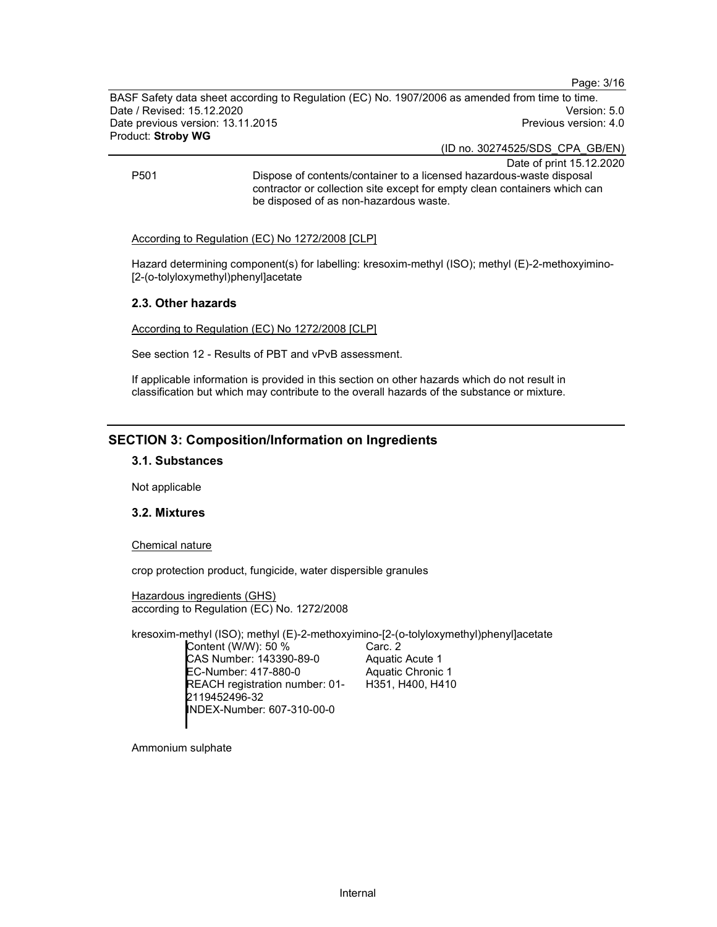Page: 3/16

BASF Safety data sheet according to Regulation (EC) No. 1907/2006 as amended from time to time. Date / Revised: 15.12.2020 Version: 5.0 Date previous version: 13.11.2015 **Previous version: 4.0** Previous version: 4.0 Product: Stroby WG

(ID no. 30274525/SDS\_CPA\_GB/EN)

Date of print 15.12.2020 P501 Dispose of contents/container to a licensed hazardous-waste disposal contractor or collection site except for empty clean containers which can be disposed of as non-hazardous waste.

#### According to Regulation (EC) No 1272/2008 [CLP]

Hazard determining component(s) for labelling: kresoxim-methyl (ISO); methyl (E)-2-methoxyimino- [2-(o-tolyloxymethyl)phenyl]acetate

#### 2.3. Other hazards

According to Regulation (EC) No 1272/2008 [CLP]

See section 12 - Results of PBT and vPvB assessment.

If applicable information is provided in this section on other hazards which do not result in classification but which may contribute to the overall hazards of the substance or mixture.

## SECTION 3: Composition/Information on Ingredients

#### 3.1. Substances

Not applicable

#### 3.2. Mixtures

Chemical nature

crop protection product, fungicide, water dispersible granules

Hazardous ingredients (GHS) according to Regulation (EC) No. 1272/2008

kresoxim-methyl (ISO); methyl (E)-2-methoxyimino-[2-(o-tolyloxymethyl)phenyl]acetate

Content (W/W): 50 % CAS Number: 143390-89-0 EC-Number: 417-880-0 REACH registration number: 01- 2119452496-32 INDEX-Number: 607-310-00-0

Carc. 2 Aquatic Acute 1 Aquatic Chronic 1 H351, H400, H410

Ammonium sulphate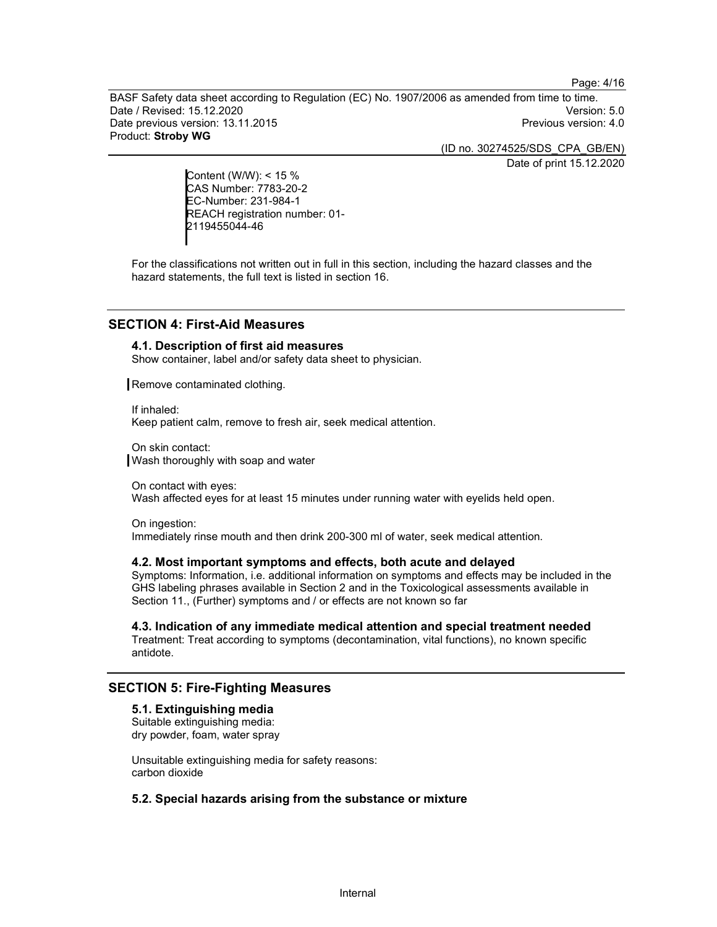Page: 4/16

BASF Safety data sheet according to Regulation (EC) No. 1907/2006 as amended from time to time. Date / Revised: 15.12.2020 Version: 5.0 Date previous version: 13.11.2015 **Previous version: 4.0** Previous version: 4.0 Product: Stroby WG

(ID no. 30274525/SDS\_CPA\_GB/EN)

Date of print 15.12.2020

Content (W/W): < 15 % CAS Number: 7783-20-2 EC-Number: 231-984-1 REACH registration number: 01- 2119455044-46

For the classifications not written out in full in this section, including the hazard classes and the hazard statements, the full text is listed in section 16.

## SECTION 4: First-Aid Measures

#### 4.1. Description of first aid measures

Show container, label and/or safety data sheet to physician.

Remove contaminated clothing.

If inhaled: Keep patient calm, remove to fresh air, seek medical attention.

On skin contact: Wash thoroughly with soap and water

On contact with eyes: Wash affected eyes for at least 15 minutes under running water with eyelids held open.

On ingestion: Immediately rinse mouth and then drink 200-300 ml of water, seek medical attention.

#### 4.2. Most important symptoms and effects, both acute and delayed

Symptoms: Information, i.e. additional information on symptoms and effects may be included in the GHS labeling phrases available in Section 2 and in the Toxicological assessments available in Section 11., (Further) symptoms and / or effects are not known so far

4.3. Indication of any immediate medical attention and special treatment needed Treatment: Treat according to symptoms (decontamination, vital functions), no known specific antidote.

## SECTION 5: Fire-Fighting Measures

## 5.1. Extinguishing media

Suitable extinguishing media: dry powder, foam, water spray

Unsuitable extinguishing media for safety reasons: carbon dioxide

## 5.2. Special hazards arising from the substance or mixture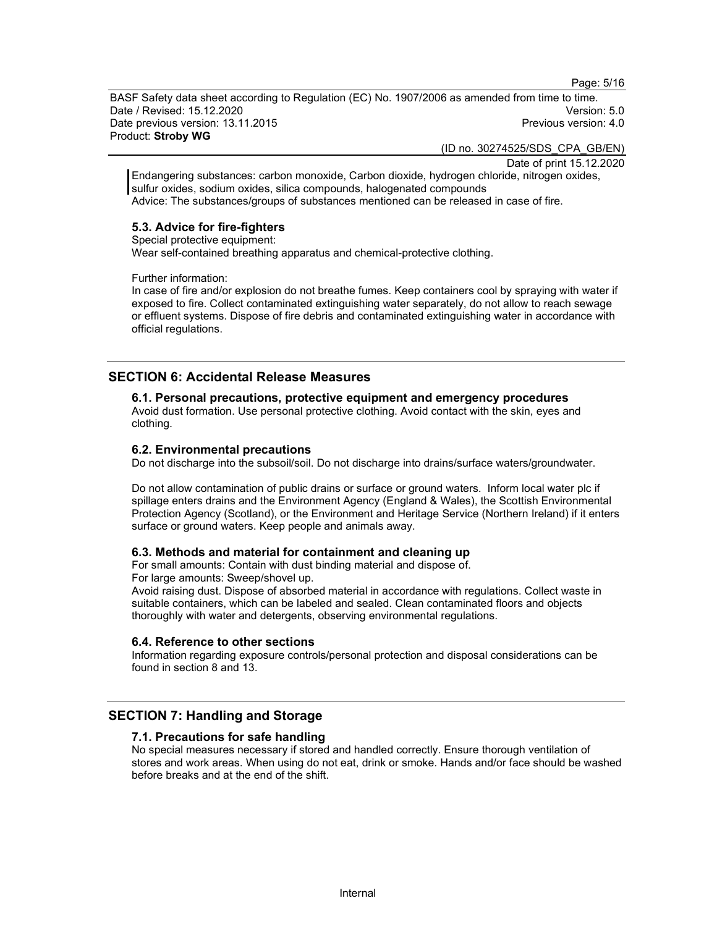Page: 5/16

BASF Safety data sheet according to Regulation (EC) No. 1907/2006 as amended from time to time. Date / Revised: 15.12.2020 Version: 5.0 Date previous version: 13.11.2015 **Previous version: 4.0** Previous version: 4.0 Product: Stroby WG

(ID no. 30274525/SDS\_CPA\_GB/EN)

Date of print 15.12.2020

Endangering substances: carbon monoxide, Carbon dioxide, hydrogen chloride, nitrogen oxides, sulfur oxides, sodium oxides, silica compounds, halogenated compounds Advice: The substances/groups of substances mentioned can be released in case of fire.

#### 5.3. Advice for fire-fighters

Special protective equipment:

Wear self-contained breathing apparatus and chemical-protective clothing.

Further information:

In case of fire and/or explosion do not breathe fumes. Keep containers cool by spraying with water if exposed to fire. Collect contaminated extinguishing water separately, do not allow to reach sewage or effluent systems. Dispose of fire debris and contaminated extinguishing water in accordance with official regulations.

## SECTION 6: Accidental Release Measures

#### 6.1. Personal precautions, protective equipment and emergency procedures

Avoid dust formation. Use personal protective clothing. Avoid contact with the skin, eyes and clothing.

#### 6.2. Environmental precautions

Do not discharge into the subsoil/soil. Do not discharge into drains/surface waters/groundwater.

Do not allow contamination of public drains or surface or ground waters. Inform local water plc if spillage enters drains and the Environment Agency (England & Wales), the Scottish Environmental Protection Agency (Scotland), or the Environment and Heritage Service (Northern Ireland) if it enters surface or ground waters. Keep people and animals away.

#### 6.3. Methods and material for containment and cleaning up

For small amounts: Contain with dust binding material and dispose of. For large amounts: Sweep/shovel up.

Avoid raising dust. Dispose of absorbed material in accordance with regulations. Collect waste in suitable containers, which can be labeled and sealed. Clean contaminated floors and objects thoroughly with water and detergents, observing environmental regulations.

#### 6.4. Reference to other sections

Information regarding exposure controls/personal protection and disposal considerations can be found in section 8 and 13.

#### SECTION 7: Handling and Storage

#### 7.1. Precautions for safe handling

No special measures necessary if stored and handled correctly. Ensure thorough ventilation of stores and work areas. When using do not eat, drink or smoke. Hands and/or face should be washed before breaks and at the end of the shift.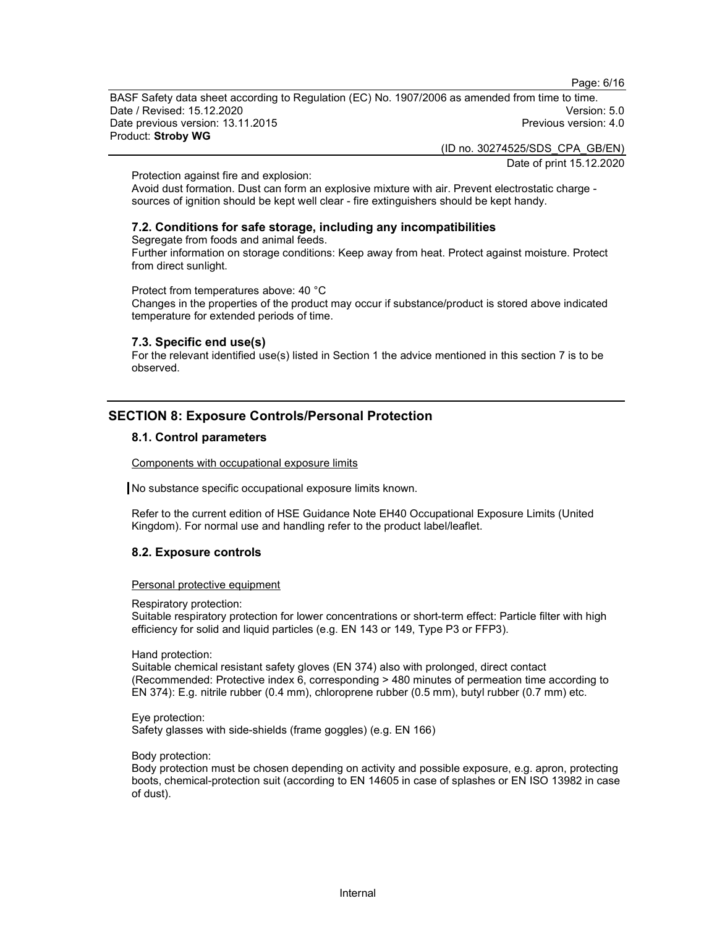Page: 6/16

BASF Safety data sheet according to Regulation (EC) No. 1907/2006 as amended from time to time.<br>Date / Revised: 15.12.2020 Date / Revised: 15.12.2020 Date previous version: 13.11.2015 **Previous version: 4.0** Previous version: 4.0 Product: Stroby WG

(ID no. 30274525/SDS\_CPA\_GB/EN)

Date of print 15.12.2020

Protection against fire and explosion:

Avoid dust formation. Dust can form an explosive mixture with air. Prevent electrostatic charge sources of ignition should be kept well clear - fire extinguishers should be kept handy.

#### 7.2. Conditions for safe storage, including any incompatibilities

Segregate from foods and animal feeds.

Further information on storage conditions: Keep away from heat. Protect against moisture. Protect from direct sunlight.

Protect from temperatures above: 40 °C

Changes in the properties of the product may occur if substance/product is stored above indicated temperature for extended periods of time.

#### 7.3. Specific end use(s)

For the relevant identified use(s) listed in Section 1 the advice mentioned in this section 7 is to be observed.

## SECTION 8: Exposure Controls/Personal Protection

#### 8.1. Control parameters

Components with occupational exposure limits

No substance specific occupational exposure limits known.

Refer to the current edition of HSE Guidance Note EH40 Occupational Exposure Limits (United Kingdom). For normal use and handling refer to the product label/leaflet.

#### 8.2. Exposure controls

Personal protective equipment

Respiratory protection:

Suitable respiratory protection for lower concentrations or short-term effect: Particle filter with high efficiency for solid and liquid particles (e.g. EN 143 or 149, Type P3 or FFP3).

Hand protection:

Suitable chemical resistant safety gloves (EN 374) also with prolonged, direct contact (Recommended: Protective index 6, corresponding > 480 minutes of permeation time according to EN 374): E.g. nitrile rubber (0.4 mm), chloroprene rubber (0.5 mm), butyl rubber (0.7 mm) etc.

Eye protection: Safety glasses with side-shields (frame goggles) (e.g. EN 166)

Body protection:

Body protection must be chosen depending on activity and possible exposure, e.g. apron, protecting boots, chemical-protection suit (according to EN 14605 in case of splashes or EN ISO 13982 in case of dust).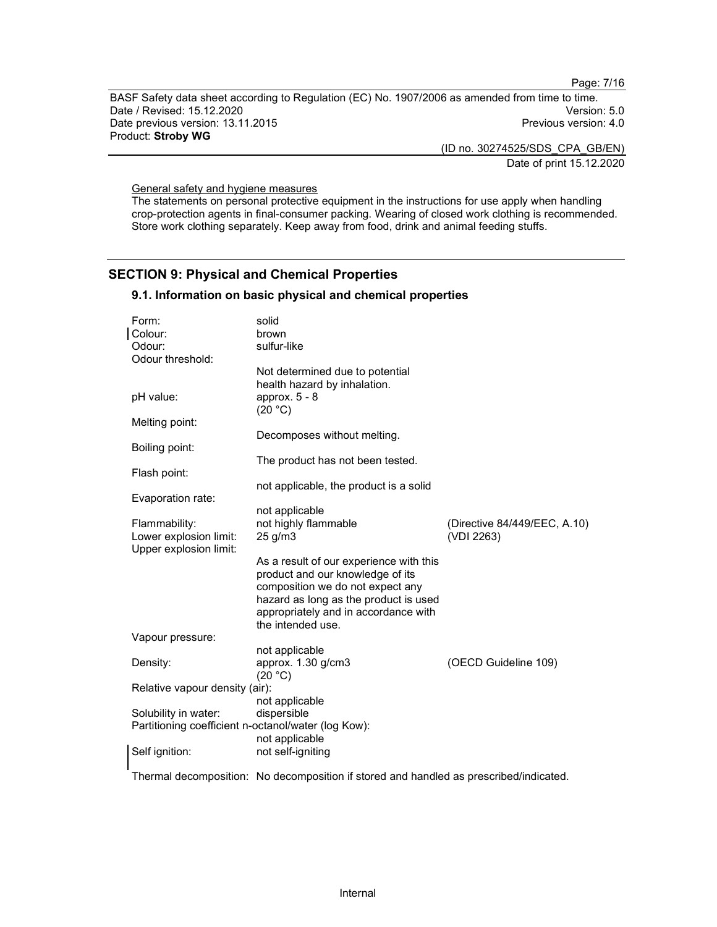Page: 7/16

BASF Safety data sheet according to Regulation (EC) No. 1907/2006 as amended from time to time.<br>Date / Revised: 15.12.2020 Date / Revised: 15.12.2020 Date previous version: 13.11.2015 **Previous version: 4.0** Previous version: 4.0 Product: Stroby WG

(ID no. 30274525/SDS\_CPA\_GB/EN)

Date of print 15.12.2020

General safety and hygiene measures

The statements on personal protective equipment in the instructions for use apply when handling crop-protection agents in final-consumer packing. Wearing of closed work clothing is recommended. Store work clothing separately. Keep away from food, drink and animal feeding stuffs.

## SECTION 9: Physical and Chemical Properties

#### 9.1. Information on basic physical and chemical properties

| Form:                                               | solid                                                                                  |                              |  |  |
|-----------------------------------------------------|----------------------------------------------------------------------------------------|------------------------------|--|--|
| Colour:                                             | brown                                                                                  |                              |  |  |
| Odour:                                              | sulfur-like                                                                            |                              |  |  |
| Odour threshold:                                    |                                                                                        |                              |  |  |
|                                                     | Not determined due to potential                                                        |                              |  |  |
|                                                     | health hazard by inhalation.                                                           |                              |  |  |
| pH value:                                           | approx. $5 - 8$<br>(20 °C)                                                             |                              |  |  |
| Melting point:                                      |                                                                                        |                              |  |  |
|                                                     | Decomposes without melting.                                                            |                              |  |  |
| Boiling point:                                      |                                                                                        |                              |  |  |
|                                                     | The product has not been tested.                                                       |                              |  |  |
| Flash point:                                        |                                                                                        |                              |  |  |
|                                                     | not applicable, the product is a solid                                                 |                              |  |  |
| Evaporation rate:                                   |                                                                                        |                              |  |  |
|                                                     | not applicable                                                                         |                              |  |  |
| Flammability:                                       | not highly flammable                                                                   | (Directive 84/449/EEC, A.10) |  |  |
| Lower explosion limit:                              | $25$ g/m $3$                                                                           | (VDI 2263)                   |  |  |
| Upper explosion limit:                              |                                                                                        |                              |  |  |
|                                                     | As a result of our experience with this                                                |                              |  |  |
|                                                     | product and our knowledge of its                                                       |                              |  |  |
|                                                     | composition we do not expect any                                                       |                              |  |  |
|                                                     | hazard as long as the product is used                                                  |                              |  |  |
|                                                     |                                                                                        |                              |  |  |
|                                                     | appropriately and in accordance with<br>the intended use.                              |                              |  |  |
|                                                     |                                                                                        |                              |  |  |
| Vapour pressure:                                    |                                                                                        |                              |  |  |
|                                                     | not applicable                                                                         |                              |  |  |
| Density:                                            | approx. 1.30 g/cm3                                                                     | (OECD Guideline 109)         |  |  |
|                                                     | (20 °C)                                                                                |                              |  |  |
| Relative vapour density (air):                      |                                                                                        |                              |  |  |
|                                                     | not applicable                                                                         |                              |  |  |
| Solubility in water:                                | dispersible                                                                            |                              |  |  |
| Partitioning coefficient n-octanol/water (log Kow): |                                                                                        |                              |  |  |
|                                                     | not applicable                                                                         |                              |  |  |
| Self ignition:                                      | not self-igniting                                                                      |                              |  |  |
|                                                     |                                                                                        |                              |  |  |
|                                                     | Thermal decomposition: No decomposition if stored and handled as prescribed/indicated. |                              |  |  |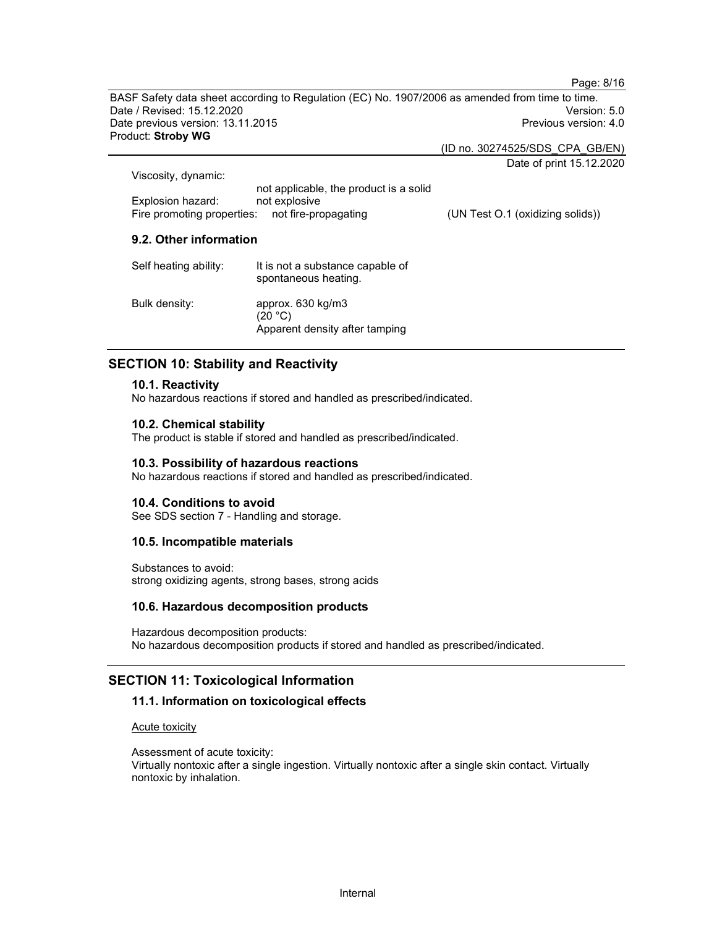BASF Safety data sheet according to Regulation (EC) No. 1907/2006 as amended from time to time. Date / Revised: 15.12.2020 Version: 5.0 Date previous version: 13.11.2015 **Previous version: 4.0** Previous version: 4.0 Product: Stroby WG

(ID no. 30274525/SDS\_CPA\_GB/EN)

Date of print 15.12.2020

Page: 8/16

| Viscosity, dynamic:                             |                                        |                                  |
|-------------------------------------------------|----------------------------------------|----------------------------------|
|                                                 | not applicable, the product is a solid |                                  |
| Explosion hazard:                               | not explosive                          |                                  |
| Fire promoting properties: not fire-propagating |                                        | (UN Test O.1 (oxidizing solids)) |

## 9.2. Other information

| Self heating ability: | It is not a substance capable of<br>spontaneous heating.       |
|-----------------------|----------------------------------------------------------------|
| Bulk density:         | approx. 630 kg/m3<br>(20 °C)<br>Apparent density after tamping |

## SECTION 10: Stability and Reactivity

#### 10.1. Reactivity

No hazardous reactions if stored and handled as prescribed/indicated.

#### 10.2. Chemical stability

The product is stable if stored and handled as prescribed/indicated.

#### 10.3. Possibility of hazardous reactions

No hazardous reactions if stored and handled as prescribed/indicated.

#### 10.4. Conditions to avoid

See SDS section 7 - Handling and storage.

#### 10.5. Incompatible materials

Substances to avoid: strong oxidizing agents, strong bases, strong acids

#### 10.6. Hazardous decomposition products

Hazardous decomposition products: No hazardous decomposition products if stored and handled as prescribed/indicated.

## SECTION 11: Toxicological Information

#### 11.1. Information on toxicological effects

Acute toxicity

Assessment of acute toxicity: Virtually nontoxic after a single ingestion. Virtually nontoxic after a single skin contact. Virtually nontoxic by inhalation.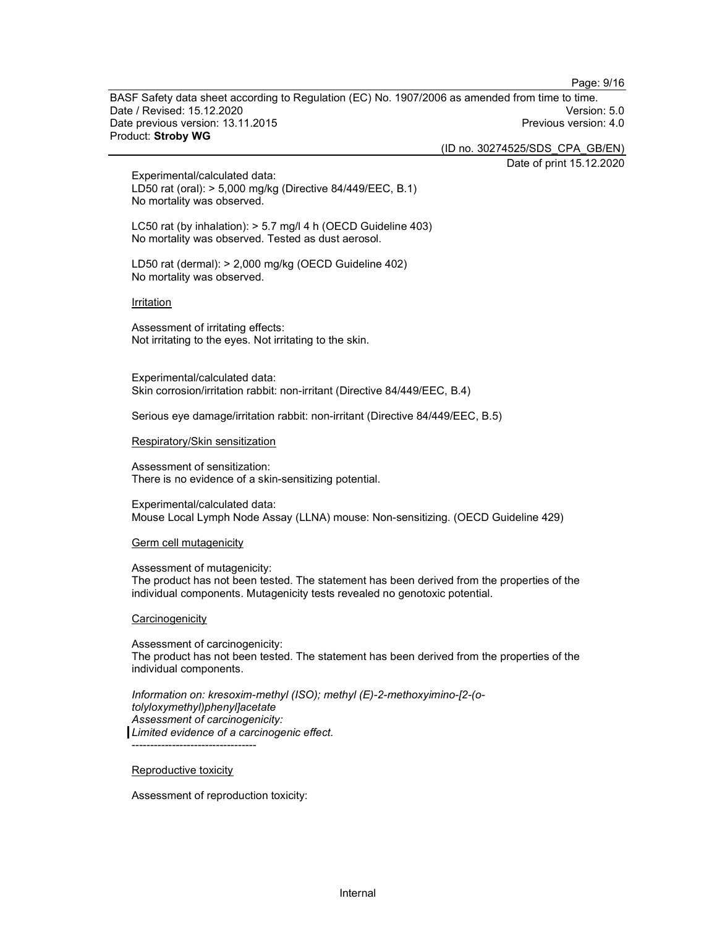Page: 9/16

BASF Safety data sheet according to Regulation (EC) No. 1907/2006 as amended from time to time. Date / Revised: 15.12.2020 Version: 5.0 Date previous version: 13.11.2015 **Previous version: 4.0** Previous version: 4.0 Product: Stroby WG

(ID no. 30274525/SDS\_CPA\_GB/EN)

Date of print 15.12.2020

Experimental/calculated data: LD50 rat (oral): > 5,000 mg/kg (Directive 84/449/EEC, B.1) No mortality was observed.

LC50 rat (by inhalation): > 5.7 mg/l 4 h (OECD Guideline 403) No mortality was observed. Tested as dust aerosol.

LD50 rat (dermal): > 2,000 mg/kg (OECD Guideline 402) No mortality was observed.

Irritation

Assessment of irritating effects: Not irritating to the eyes. Not irritating to the skin.

Experimental/calculated data: Skin corrosion/irritation rabbit: non-irritant (Directive 84/449/EEC, B.4)

Serious eye damage/irritation rabbit: non-irritant (Directive 84/449/EEC, B.5)

Respiratory/Skin sensitization

Assessment of sensitization: There is no evidence of a skin-sensitizing potential.

Experimental/calculated data: Mouse Local Lymph Node Assay (LLNA) mouse: Non-sensitizing. (OECD Guideline 429)

Germ cell mutagenicity

Assessment of mutagenicity: The product has not been tested. The statement has been derived from the properties of the individual components. Mutagenicity tests revealed no genotoxic potential.

**Carcinogenicity** 

Assessment of carcinogenicity: The product has not been tested. The statement has been derived from the properties of the individual components.

Information on: kresoxim-methyl (ISO); methyl (E)-2-methoxyimino-[2-(otolyloxymethyl)phenyl]acetate Assessment of carcinogenicity: Limited evidence of a carcinogenic effect.

Reproductive toxicity

----------------------------------

Assessment of reproduction toxicity: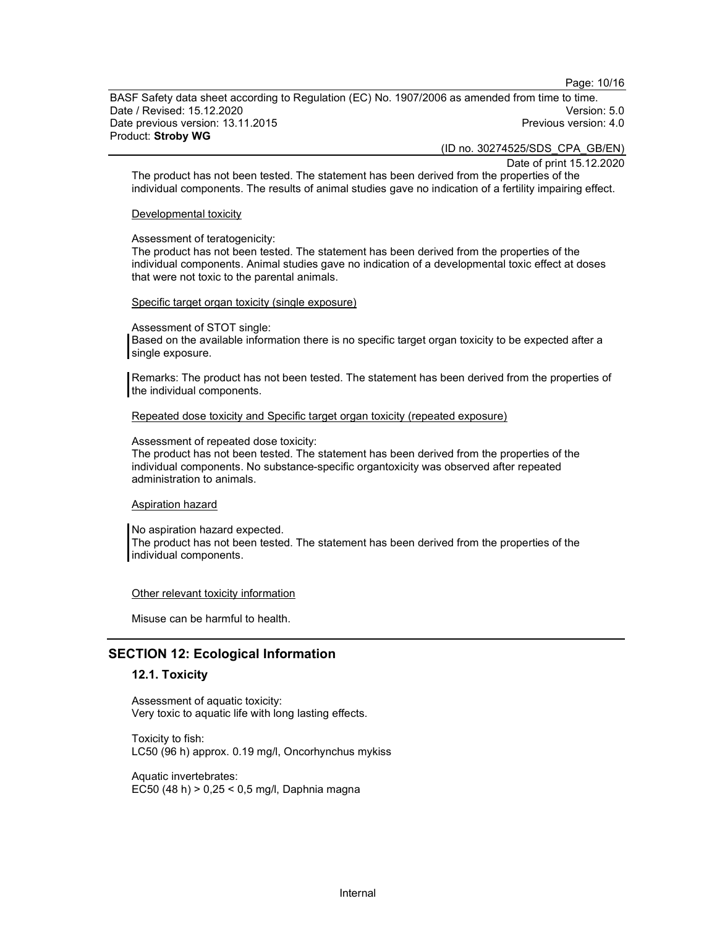Page: 10/16

BASF Safety data sheet according to Regulation (EC) No. 1907/2006 as amended from time to time. Date / Revised: 15.12.2020 Version: 5.0 Date previous version: 13.11.2015 **Previous version: 4.0 Previous version: 4.0** Product: Stroby WG

(ID no. 30274525/SDS\_CPA\_GB/EN)

Date of print 15.12.2020

The product has not been tested. The statement has been derived from the properties of the individual components. The results of animal studies gave no indication of a fertility impairing effect.

#### Developmental toxicity

Assessment of teratogenicity:

The product has not been tested. The statement has been derived from the properties of the individual components. Animal studies gave no indication of a developmental toxic effect at doses that were not toxic to the parental animals.

Specific target organ toxicity (single exposure)

Assessment of STOT single:

Based on the available information there is no specific target organ toxicity to be expected after a single exposure.

Remarks: The product has not been tested. The statement has been derived from the properties of the individual components.

Repeated dose toxicity and Specific target organ toxicity (repeated exposure)

Assessment of repeated dose toxicity:

The product has not been tested. The statement has been derived from the properties of the individual components. No substance-specific organtoxicity was observed after repeated administration to animals.

Aspiration hazard

No aspiration hazard expected.

The product has not been tested. The statement has been derived from the properties of the individual components.

Other relevant toxicity information

Misuse can be harmful to health.

#### SECTION 12: Ecological Information

#### 12.1. Toxicity

Assessment of aquatic toxicity: Very toxic to aquatic life with long lasting effects.

Toxicity to fish: LC50 (96 h) approx. 0.19 mg/l, Oncorhynchus mykiss

Aquatic invertebrates: EC50 (48 h) > 0,25 < 0,5 mg/l, Daphnia magna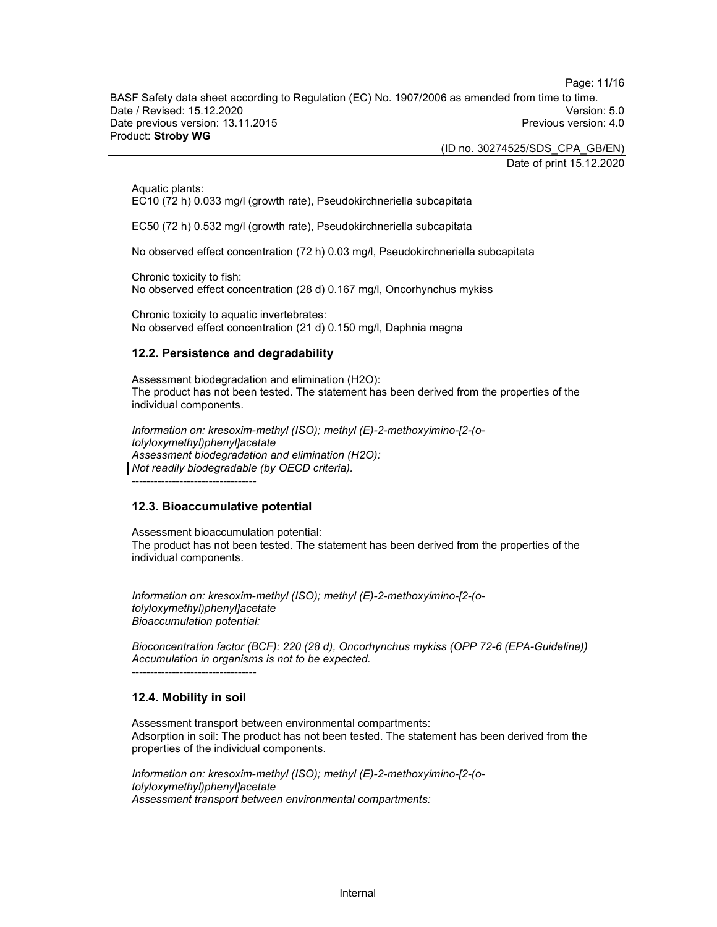Page: 11/16

BASF Safety data sheet according to Regulation (EC) No. 1907/2006 as amended from time to time. Date / Revised: 15.12.2020 Version: 5.0 Date previous version: 13.11.2015 **Previous version: 4.0** Previous version: 4.0 Product: Stroby WG

(ID no. 30274525/SDS\_CPA\_GB/EN)

Date of print 15.12.2020

Aquatic plants: EC10 (72 h) 0.033 mg/l (growth rate), Pseudokirchneriella subcapitata

EC50 (72 h) 0.532 mg/l (growth rate), Pseudokirchneriella subcapitata

No observed effect concentration (72 h) 0.03 mg/l, Pseudokirchneriella subcapitata

Chronic toxicity to fish: No observed effect concentration (28 d) 0.167 mg/l, Oncorhynchus mykiss

Chronic toxicity to aquatic invertebrates: No observed effect concentration (21 d) 0.150 mg/l, Daphnia magna

#### 12.2. Persistence and degradability

Assessment biodegradation and elimination (H2O): The product has not been tested. The statement has been derived from the properties of the individual components.

Information on: kresoxim-methyl (ISO); methyl (E)-2-methoxyimino-[2-(otolyloxymethyl)phenyl]acetate Assessment biodegradation and elimination (H2O): Not readily biodegradable (by OECD criteria).

#### 12.3. Bioaccumulative potential

----------------------------------

Assessment bioaccumulation potential: The product has not been tested. The statement has been derived from the properties of the individual components.

Information on: kresoxim-methyl (ISO); methyl (E)-2-methoxyimino-[2-(otolyloxymethyl)phenyl]acetate Bioaccumulation potential:

Bioconcentration factor (BCF): 220 (28 d), Oncorhynchus mykiss (OPP 72-6 (EPA-Guideline)) Accumulation in organisms is not to be expected.

## 12.4. Mobility in soil

----------------------------------

Assessment transport between environmental compartments: Adsorption in soil: The product has not been tested. The statement has been derived from the properties of the individual components.

Information on: kresoxim-methyl (ISO); methyl (E)-2-methoxyimino-[2-(otolyloxymethyl)phenyl]acetate Assessment transport between environmental compartments: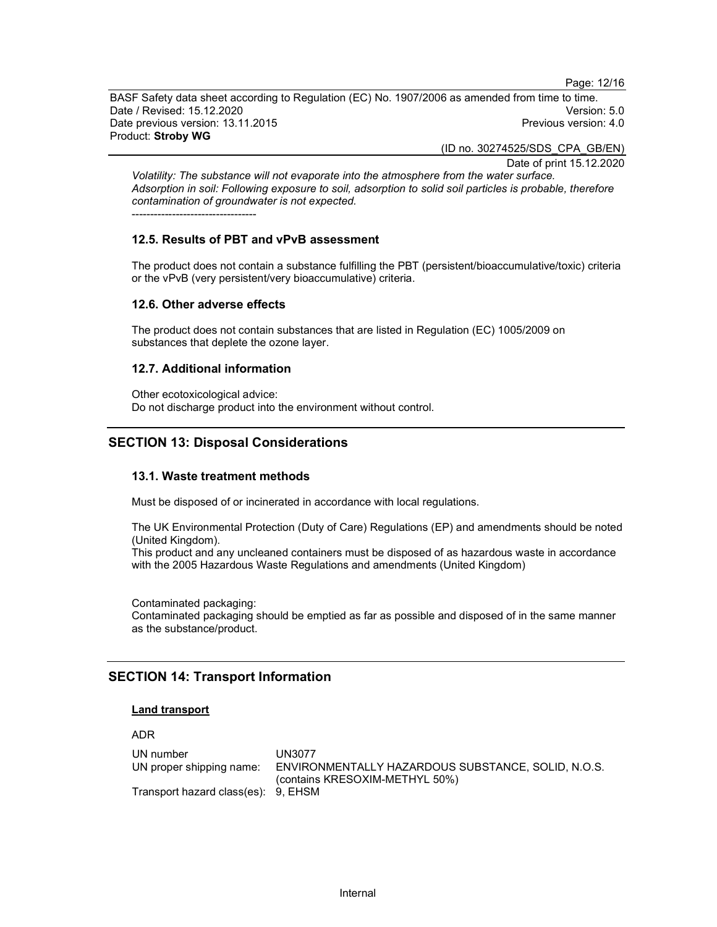Page: 12/16

BASF Safety data sheet according to Regulation (EC) No. 1907/2006 as amended from time to time. Date / Revised: 15.12.2020 Version: 5.0 Date previous version: 13.11.2015 **Previous version: 4.0** Previous version: 4.0 Product: Stroby WG

(ID no. 30274525/SDS\_CPA\_GB/EN)

Date of print 15.12.2020

Volatility: The substance will not evaporate into the atmosphere from the water surface. Adsorption in soil: Following exposure to soil, adsorption to solid soil particles is probable, therefore contamination of groundwater is not expected.

----------------------------------

#### 12.5. Results of PBT and vPvB assessment

The product does not contain a substance fulfilling the PBT (persistent/bioaccumulative/toxic) criteria or the vPvB (very persistent/very bioaccumulative) criteria.

#### 12.6. Other adverse effects

The product does not contain substances that are listed in Regulation (EC) 1005/2009 on substances that deplete the ozone layer.

#### 12.7. Additional information

Other ecotoxicological advice: Do not discharge product into the environment without control.

## SECTION 13: Disposal Considerations

#### 13.1. Waste treatment methods

Must be disposed of or incinerated in accordance with local regulations.

The UK Environmental Protection (Duty of Care) Regulations (EP) and amendments should be noted (United Kingdom).

This product and any uncleaned containers must be disposed of as hazardous waste in accordance with the 2005 Hazardous Waste Regulations and amendments (United Kingdom)

Contaminated packaging:

Contaminated packaging should be emptied as far as possible and disposed of in the same manner as the substance/product.

## SECTION 14: Transport Information

#### Land transport

ADR

| UN number                           | UN3077                                             |
|-------------------------------------|----------------------------------------------------|
| UN proper shipping name:            | ENVIRONMENTALLY HAZARDOUS SUBSTANCE, SOLID, N.O.S. |
|                                     | (contains KRESOXIM-METHYL 50%)                     |
| Transport hazard class(es): 9, EHSM |                                                    |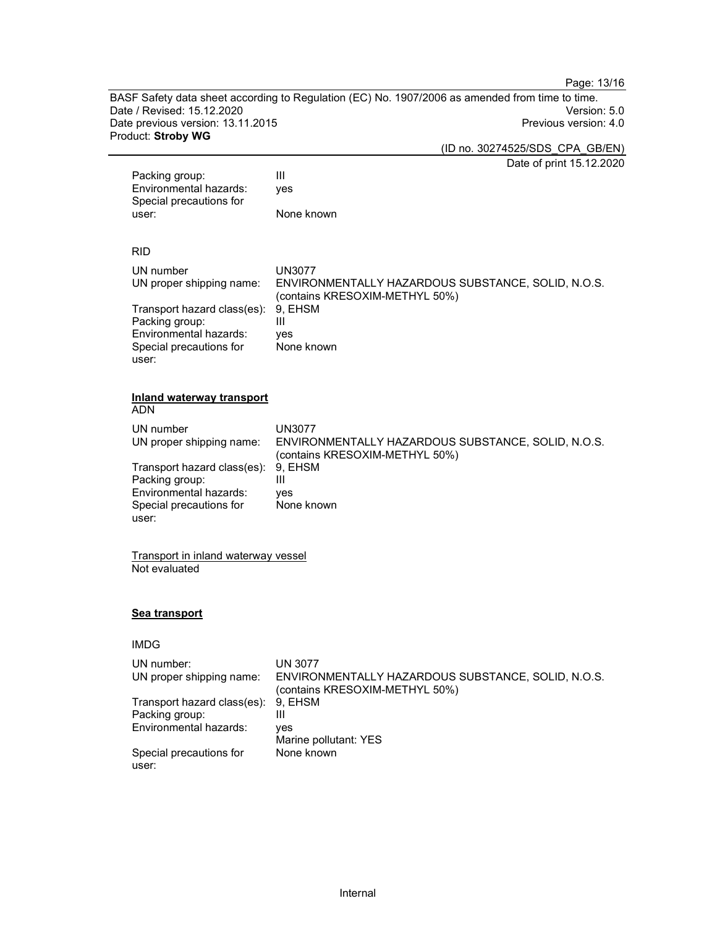Page: 13/16

BASF Safety data sheet according to Regulation (EC) No. 1907/2006 as amended from time to time.<br>Date / Revised: 15.12.2020 Date / Revised: 15.12.2020 Date previous version: 13.11.2015 **Previous version: 4.0** Previous version: 4.0 Product: Stroby WG

(ID no. 30274525/SDS\_CPA\_GB/EN)

Date of print 15.12.2020

| Packing group:<br>Environmental hazards:<br>Special precautions for<br>user:                                                                                                                           | Date of print 15.12.202<br>Ш<br>yes<br>None known                                                                                                             |
|--------------------------------------------------------------------------------------------------------------------------------------------------------------------------------------------------------|---------------------------------------------------------------------------------------------------------------------------------------------------------------|
| <b>RID</b><br>UN number<br>UN proper shipping name:<br>Transport hazard class(es):<br>Packing group:<br>Environmental hazards:<br>Special precautions for<br>user:                                     | UN3077<br>ENVIRONMENTALLY HAZARDOUS SUBSTANCE, SOLID, N.O.S.<br>(contains KRESOXIM-METHYL 50%)<br>9, EHSM<br>Ш<br>yes<br>None known                           |
| <b>Inland waterway transport</b><br><b>ADN</b><br>UN number<br>UN proper shipping name:<br>Transport hazard class(es):<br>Packing group:<br>Environmental hazards:<br>Special precautions for<br>user: | UN3077<br>ENVIRONMENTALLY HAZARDOUS SUBSTANCE, SOLID, N.O.S.<br>(contains KRESOXIM-METHYL 50%)<br>9, EHSM<br>Ш<br>ves<br>None known                           |
| Transport in inland waterway vessel<br>Not evaluated                                                                                                                                                   |                                                                                                                                                               |
| Sea transport                                                                                                                                                                                          |                                                                                                                                                               |
| <b>IMDG</b>                                                                                                                                                                                            |                                                                                                                                                               |
| UN number:<br>UN proper shipping name:<br>Transport hazard class(es):<br>Packing group:<br>Environmental hazards:<br>Special precautions for                                                           | UN 3077<br>ENVIRONMENTALLY HAZARDOUS SUBSTANCE, SOLID, N.O.S.<br>(contains KRESOXIM-METHYL 50%)<br>9, EHSM<br>Ш<br>ves<br>Marine pollutant: YES<br>None known |

user: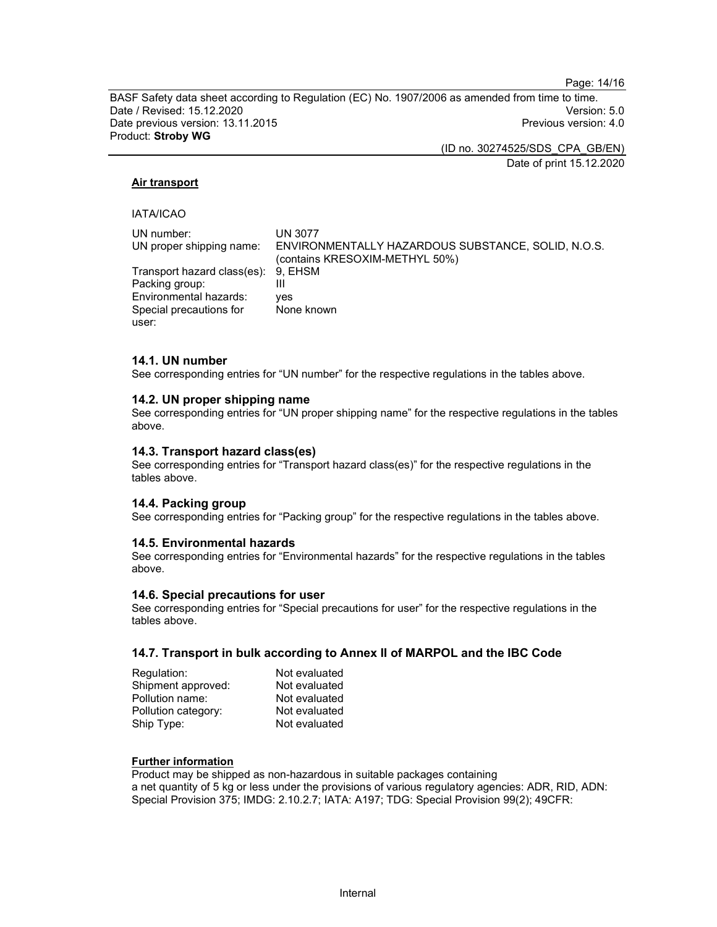Page: 14/16

BASF Safety data sheet according to Regulation (EC) No. 1907/2006 as amended from time to time. Date / Revised: 15.12.2020 Version: 5.0 Date previous version: 13.11.2015 **Previous version: 4.0 Previous version: 4.0** Product: Stroby WG

(ID no. 30274525/SDS\_CPA\_GB/EN)

Date of print 15.12.2020

#### Air transport

#### IATA/ICAO

| UN number:                          | <b>UN 3077</b>                                                                       |
|-------------------------------------|--------------------------------------------------------------------------------------|
| UN proper shipping name:            | ENVIRONMENTALLY HAZARDOUS SUBSTANCE, SOLID, N.O.S.<br>(contains KRESOXIM-METHYL 50%) |
| Transport hazard class(es): 9, EHSM |                                                                                      |
| Packing group:                      |                                                                                      |
| Environmental hazards:              | ves                                                                                  |
| Special precautions for             | None known                                                                           |
| user:                               |                                                                                      |

#### 14.1. UN number

See corresponding entries for "UN number" for the respective regulations in the tables above.

#### 14.2. UN proper shipping name

See corresponding entries for "UN proper shipping name" for the respective regulations in the tables above.

#### 14.3. Transport hazard class(es)

See corresponding entries for "Transport hazard class(es)" for the respective regulations in the tables above.

#### 14.4. Packing group

See corresponding entries for "Packing group" for the respective regulations in the tables above.

#### 14.5. Environmental hazards

See corresponding entries for "Environmental hazards" for the respective regulations in the tables above.

#### 14.6. Special precautions for user

See corresponding entries for "Special precautions for user" for the respective regulations in the tables above.

#### 14.7. Transport in bulk according to Annex II of MARPOL and the IBC Code

| Regulation:         | Not evaluated |
|---------------------|---------------|
| Shipment approved:  | Not evaluated |
| Pollution name:     | Not evaluated |
| Pollution category: | Not evaluated |
| Ship Type:          | Not evaluated |

#### Further information

Product may be shipped as non-hazardous in suitable packages containing a net quantity of 5 kg or less under the provisions of various regulatory agencies: ADR, RID, ADN: Special Provision 375; IMDG: 2.10.2.7; IATA: A197; TDG: Special Provision 99(2); 49CFR: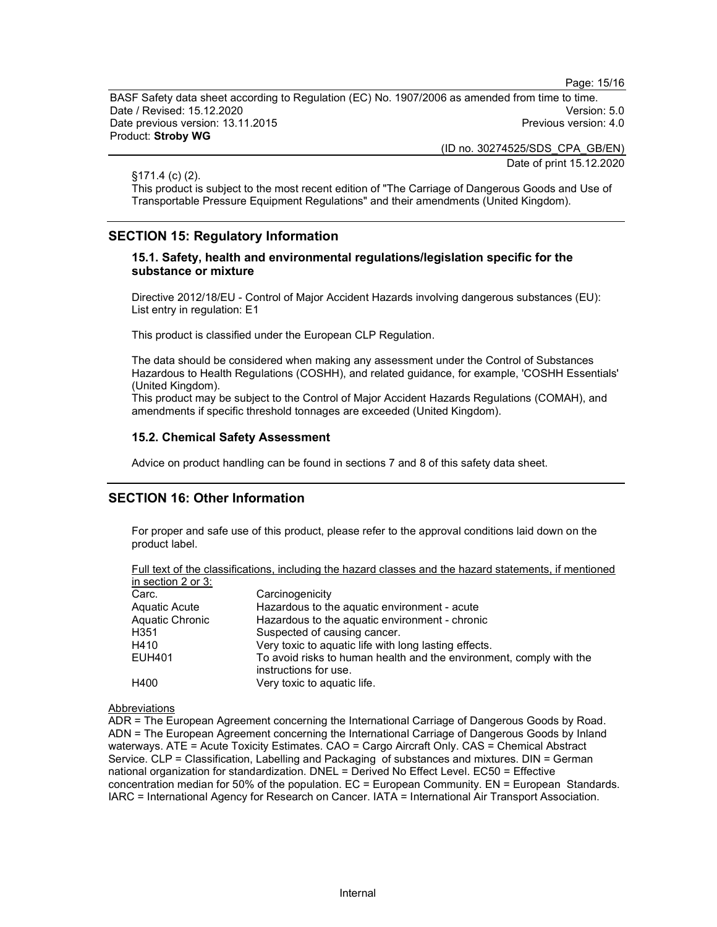Page: 15/16

BASF Safety data sheet according to Regulation (EC) No. 1907/2006 as amended from time to time. Date / Revised: 15.12.2020 Version: 5.0 Date previous version: 13.11.2015 **Previous version: 4.0 Previous version: 4.0** Product: Stroby WG

(ID no. 30274525/SDS\_CPA\_GB/EN)

Date of print 15.12.2020

§171.4 (c) (2).

This product is subject to the most recent edition of "The Carriage of Dangerous Goods and Use of Transportable Pressure Equipment Regulations" and their amendments (United Kingdom).

## SECTION 15: Regulatory Information

#### 15.1. Safety, health and environmental regulations/legislation specific for the substance or mixture

Directive 2012/18/EU - Control of Major Accident Hazards involving dangerous substances (EU): List entry in regulation: E1

This product is classified under the European CLP Regulation.

The data should be considered when making any assessment under the Control of Substances Hazardous to Health Regulations (COSHH), and related guidance, for example, 'COSHH Essentials' (United Kingdom).

This product may be subject to the Control of Major Accident Hazards Regulations (COMAH), and amendments if specific threshold tonnages are exceeded (United Kingdom).

#### 15.2. Chemical Safety Assessment

Advice on product handling can be found in sections 7 and 8 of this safety data sheet.

#### SECTION 16: Other Information

For proper and safe use of this product, please refer to the approval conditions laid down on the product label.

| Full text of the classifications, including the hazard classes and the hazard statements, if mentioned |  |  |  |  |
|--------------------------------------------------------------------------------------------------------|--|--|--|--|
| in section 2 or $3$ :                                                                                  |  |  |  |  |

| Carc.           | Carcinogenicity                                                                              |
|-----------------|----------------------------------------------------------------------------------------------|
| Aquatic Acute   | Hazardous to the aquatic environment - acute                                                 |
| Aquatic Chronic | Hazardous to the aquatic environment - chronic                                               |
| H351            | Suspected of causing cancer.                                                                 |
| H410            | Very toxic to aquatic life with long lasting effects.                                        |
| EUH401          | To avoid risks to human health and the environment, comply with the<br>instructions for use. |
| H400            | Very toxic to aquatic life.                                                                  |

#### Abbreviations

ADR = The European Agreement concerning the International Carriage of Dangerous Goods by Road. ADN = The European Agreement concerning the International Carriage of Dangerous Goods by Inland waterways. ATE = Acute Toxicity Estimates. CAO = Cargo Aircraft Only. CAS = Chemical Abstract Service. CLP = Classification, Labelling and Packaging of substances and mixtures. DIN = German national organization for standardization. DNEL = Derived No Effect Level. EC50 = Effective concentration median for 50% of the population. EC = European Community. EN = European Standards. IARC = International Agency for Research on Cancer. IATA = International Air Transport Association.